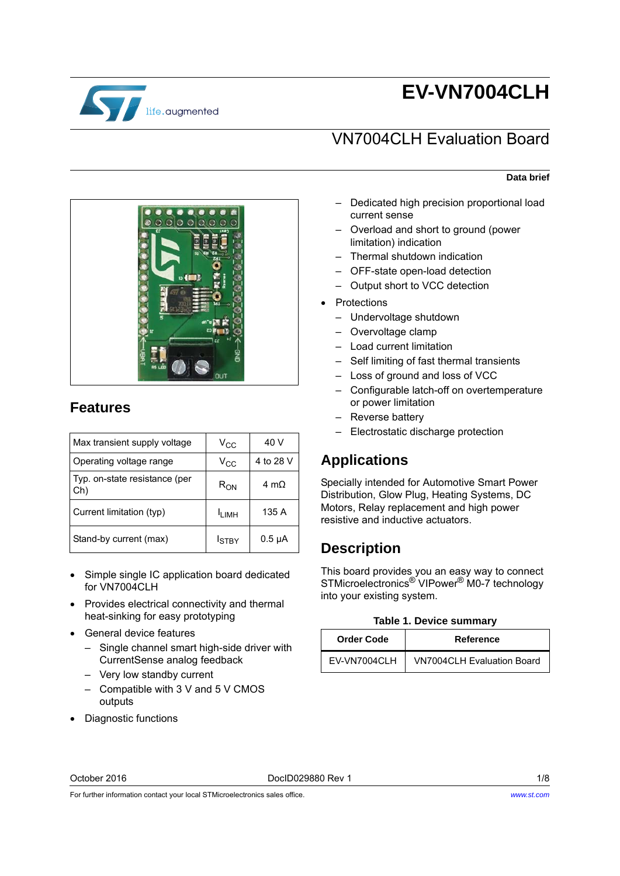

# **EV-VN7004CLH**

## VN7004CLH Evaluation Board

#### **Data brief**

- Dedicated high precision proportional load current sense
	- Overload and short to ground (power limitation) indication
	- Thermal shutdown indication
	- OFF-state open-load detection
	- Output short to VCC detection
- Protections
	- Undervoltage shutdown
	- Overvoltage clamp
	- Load current limitation
	- Self limiting of fast thermal transients
	- Loss of ground and loss of VCC
	- Configurable latch-off on overtemperature or power limitation
	- Reverse battery
	- Electrostatic discharge protection

## **Applications**

Specially intended for Automotive Smart Power Distribution, Glow Plug, Heating Systems, DC Motors, Relay replacement and high power resistive and inductive actuators.

### **Description**

This board provides you an easy way to connect STMicroelectronics® VIPower® M0-7 technology into your existing system.

|  |  |  | <b>Table 1. Device summary</b> |
|--|--|--|--------------------------------|
|--|--|--|--------------------------------|

| <b>Order Code</b> | Reference                         |
|-------------------|-----------------------------------|
| EV-VN7004CLH      | <b>VN7004CLH Evaluation Board</b> |



### **Features**

| Max transient supply voltage         | $V_{CC}$      | 40 V         |
|--------------------------------------|---------------|--------------|
| Operating voltage range              | $V_{\rm CC}$  | 4 to 28 V    |
| Typ. on-state resistance (per<br>Ch) | $R_{ON}$      | 4 m $\Omega$ |
| Current limitation (typ)             | <b>ILIMH</b>  | 135 A        |
| Stand-by current (max)               | <b>I</b> STBY | $0.5 \mu A$  |

- Simple single IC application board dedicated for VN7004CLH
- Provides electrical connectivity and thermal heat-sinking for easy prototyping
- General device features
	- Single channel smart high-side driver with CurrentSense analog feedback
	- Very low standby current
	- Compatible with 3 V and 5 V CMOS outputs
- Diagnostic functions

For further information contact your local STMicroelectronics sales office.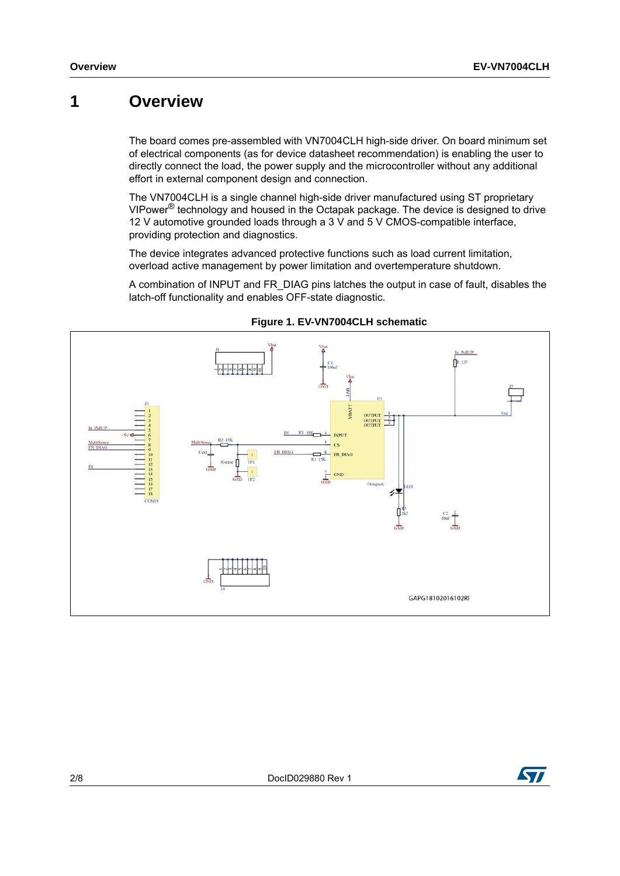## **1 Overview**

The board comes pre-assembled with VN7004CLH high-side driver. On board minimum set of electrical components (as for device datasheet recommendation) is enabling the user to directly connect the load, the power supply and the microcontroller without any additional effort in external component design and connection.

The VN7004CLH is a single channel high-side driver manufactured using ST proprietary VIPower® technology and housed in the Octapak package. The device is designed to drive 12 V automotive grounded loads through a 3 V and 5 V CMOS-compatible interface, providing protection and diagnostics.

The device integrates advanced protective functions such as load current limitation, overload active management by power limitation and overtemperature shutdown.

A combination of INPUT and FR\_DIAG pins latches the output in case of fault, disables the latch-off functionality and enables OFF-state diagnostic.



**Figure 1. EV-VN7004CLH schematic**

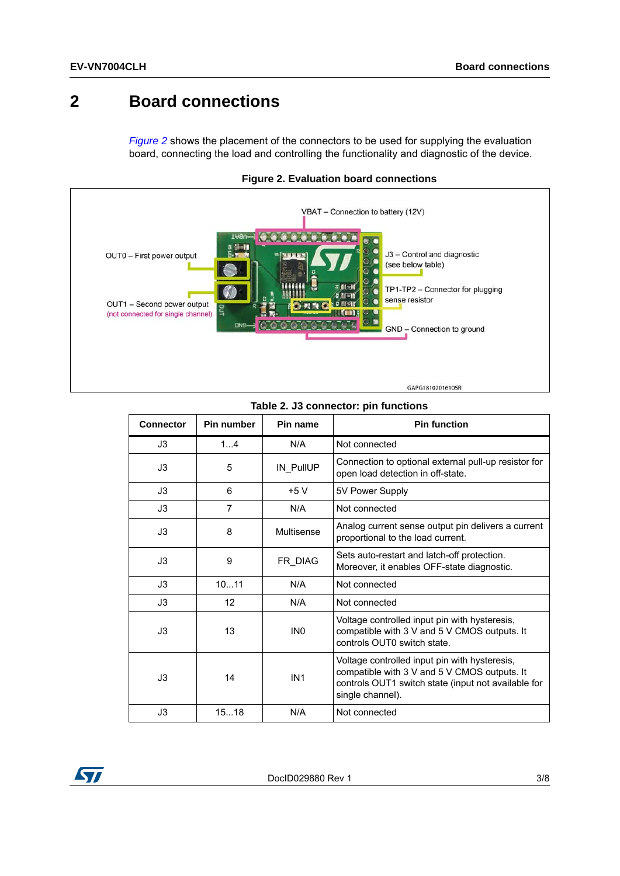## **2 Board connections**

<span id="page-2-0"></span>*[Figure 2](#page-2-0)* shows the placement of the connectors to be used for supplying the evaluation board, connecting the load and controlling the functionality and diagnostic of the device.



**Figure 2. Evaluation board connections**

| <b>Connector</b> | <b>Pin number</b> | Pin name        | <b>Pin function</b>                                                                                                                                                      |
|------------------|-------------------|-----------------|--------------------------------------------------------------------------------------------------------------------------------------------------------------------------|
| J3               | 1.4               | N/A             | Not connected                                                                                                                                                            |
| J3               | 5                 | IN PullUP       | Connection to optional external pull-up resistor for<br>open load detection in off-state.                                                                                |
| J3               | 6                 | $+5V$           | 5V Power Supply                                                                                                                                                          |
| J3               | $\overline{7}$    | N/A             | Not connected                                                                                                                                                            |
| J3               | 8                 | Multisense      | Analog current sense output pin delivers a current<br>proportional to the load current.                                                                                  |
| J3               | 9                 | FR_DIAG         | Sets auto-restart and latch-off protection.<br>Moreover, it enables OFF-state diagnostic.                                                                                |
| J3               | 1011              | N/A             | Not connected                                                                                                                                                            |
| J3               | 12                | N/A             | Not connected                                                                                                                                                            |
| J3               | 13                | IN <sub>0</sub> | Voltage controlled input pin with hysteresis,<br>compatible with 3 V and 5 V CMOS outputs. It<br>controls OUTO switch state.                                             |
| J3               | 14                | IN <sub>1</sub> | Voltage controlled input pin with hysteresis,<br>compatible with 3 V and 5 V CMOS outputs. It<br>controls OUT1 switch state (input not available for<br>single channel). |
| J3               | 1518              | N/A             | Not connected                                                                                                                                                            |

#### **Table 2. J3 connector: pin functions**

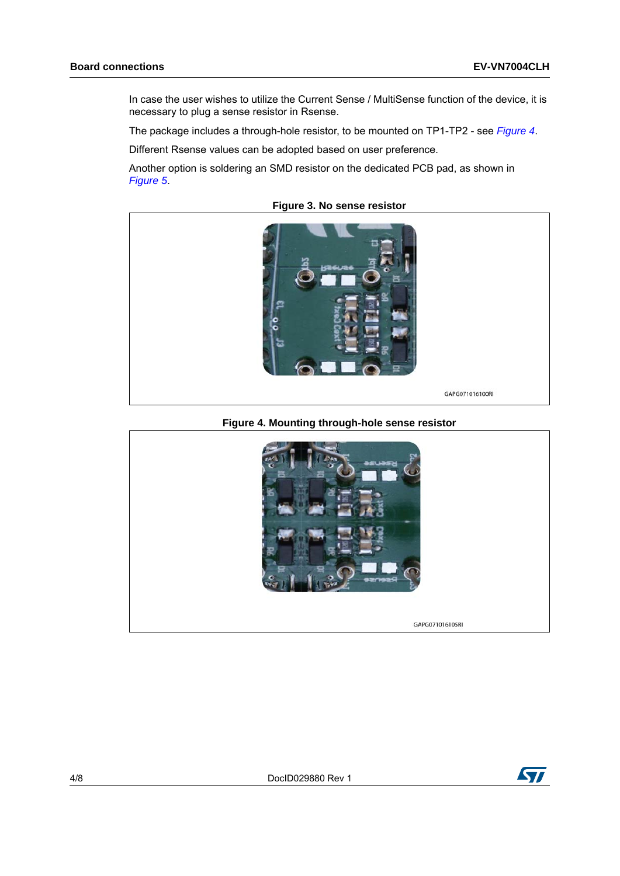In case the user wishes to utilize the Current Sense / MultiSense function of the device, it is necessary to plug a sense resistor in Rsense.

The package includes a through-hole resistor, to be mounted on TP1-TP2 - see *[Figure 4](#page-3-0)*.

Different Rsense values can be adopted based on user preference.

Another option is soldering an SMD resistor on the dedicated PCB pad, as shown in *[Figure 5](#page-4-0)*.



**Figure 3. No sense resistor**

**Figure 4. Mounting through-hole sense resistor**

<span id="page-3-0"></span>

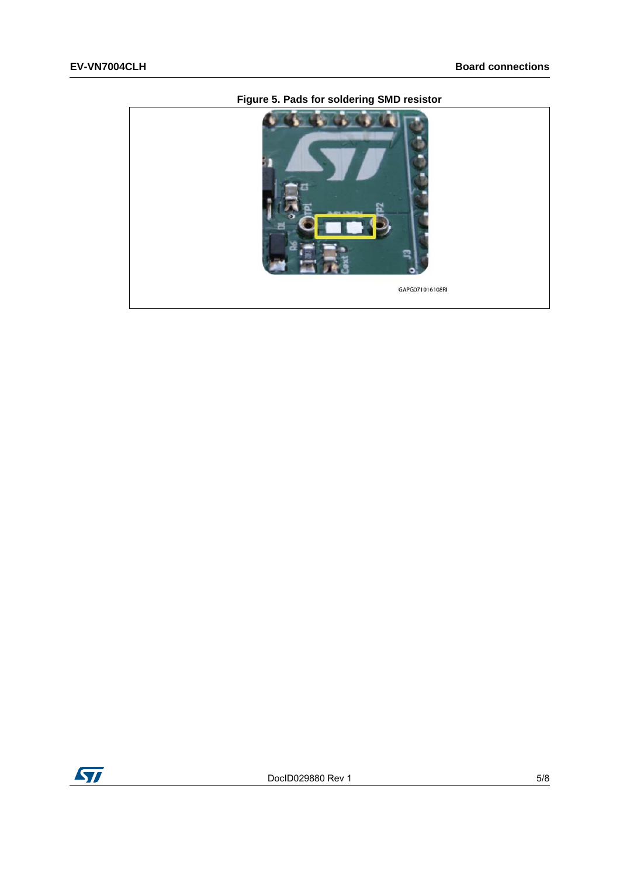<span id="page-4-0"></span>

### **Figure 5. Pads for soldering SMD resistor**

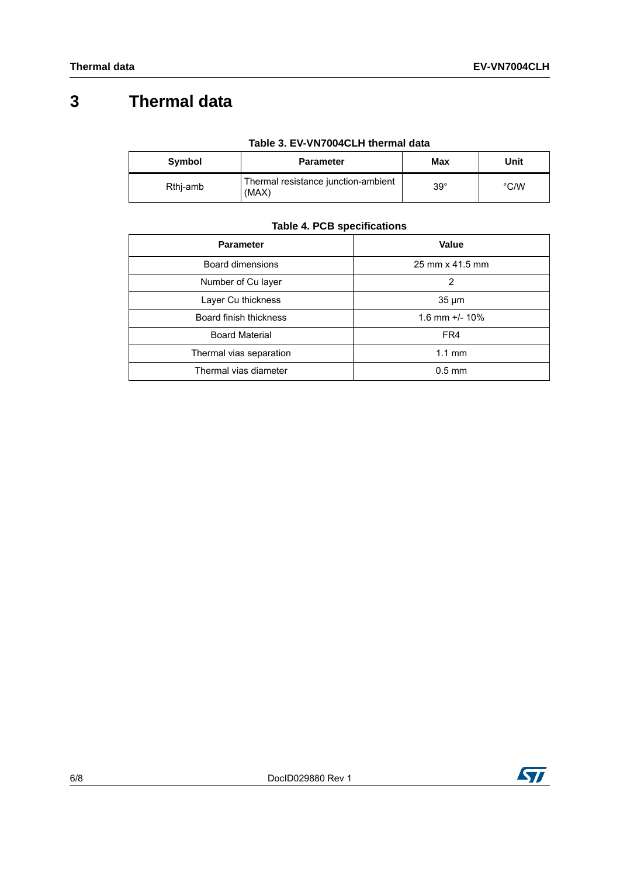## **3 Thermal data**

|  | Table 3. EV-VN7004CLH thermal data |
|--|------------------------------------|
|--|------------------------------------|

| Symbol   | <b>Parameter</b>                             | Max          | Unit |
|----------|----------------------------------------------|--------------|------|
| Rthi-amb | Thermal resistance junction-ambient<br>(MAX) | $39^{\circ}$ | °C/W |

### **Table 4. PCB specifications**

| <b>Parameter</b>        | Value             |
|-------------------------|-------------------|
| Board dimensions        | 25 mm x 41.5 mm   |
| Number of Cu layer      | 2                 |
| Layer Cu thickness      | $35 \mu m$        |
| Board finish thickness  | 1.6 mm $+/- 10\%$ |
| <b>Board Material</b>   | FR4               |
| Thermal vias separation | $1.1 \text{ mm}$  |
| Thermal vias diameter   | $0.5$ mm          |

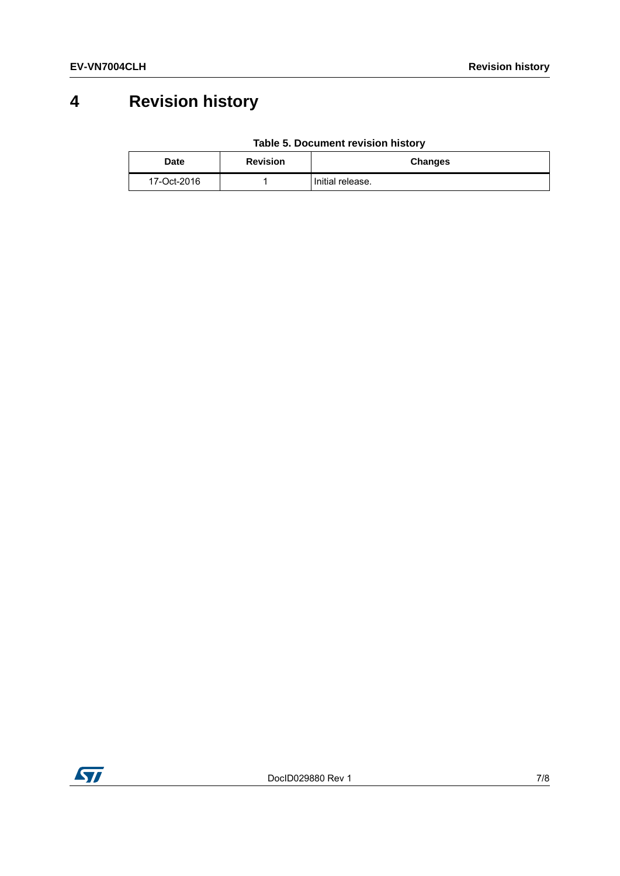# **4 Revision history**

|  | Table 5. Document revision history |  |  |
|--|------------------------------------|--|--|
|--|------------------------------------|--|--|

| Date        | <b>Revision</b> | <b>Changes</b>   |
|-------------|-----------------|------------------|
| 17-Oct-2016 |                 | Initial release. |

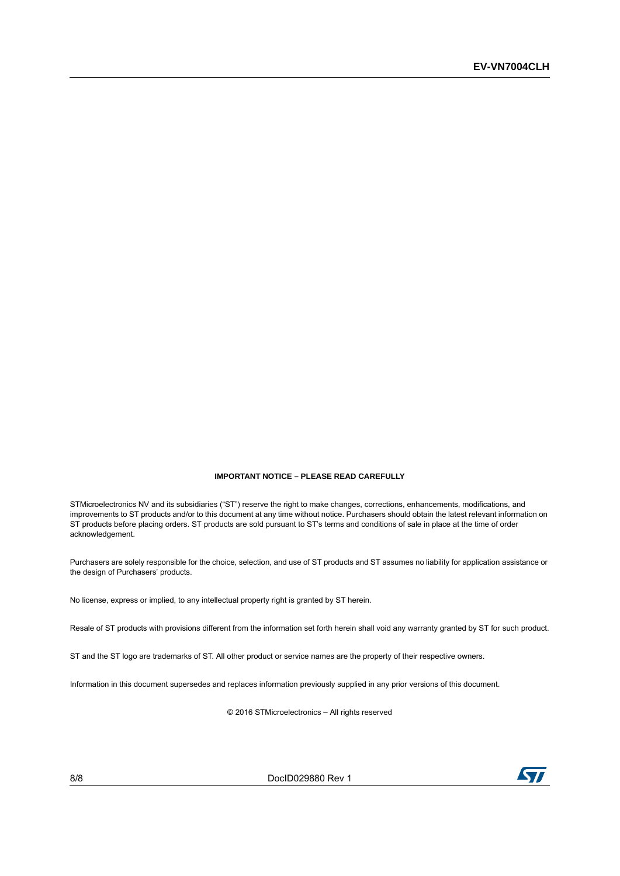#### **IMPORTANT NOTICE – PLEASE READ CAREFULLY**

STMicroelectronics NV and its subsidiaries ("ST") reserve the right to make changes, corrections, enhancements, modifications, and improvements to ST products and/or to this document at any time without notice. Purchasers should obtain the latest relevant information on ST products before placing orders. ST products are sold pursuant to ST's terms and conditions of sale in place at the time of order acknowledgement.

Purchasers are solely responsible for the choice, selection, and use of ST products and ST assumes no liability for application assistance or the design of Purchasers' products.

No license, express or implied, to any intellectual property right is granted by ST herein.

Resale of ST products with provisions different from the information set forth herein shall void any warranty granted by ST for such product.

ST and the ST logo are trademarks of ST. All other product or service names are the property of their respective owners.

Information in this document supersedes and replaces information previously supplied in any prior versions of this document.

© 2016 STMicroelectronics – All rights reserved

8/8 DocID029880 Rev 1